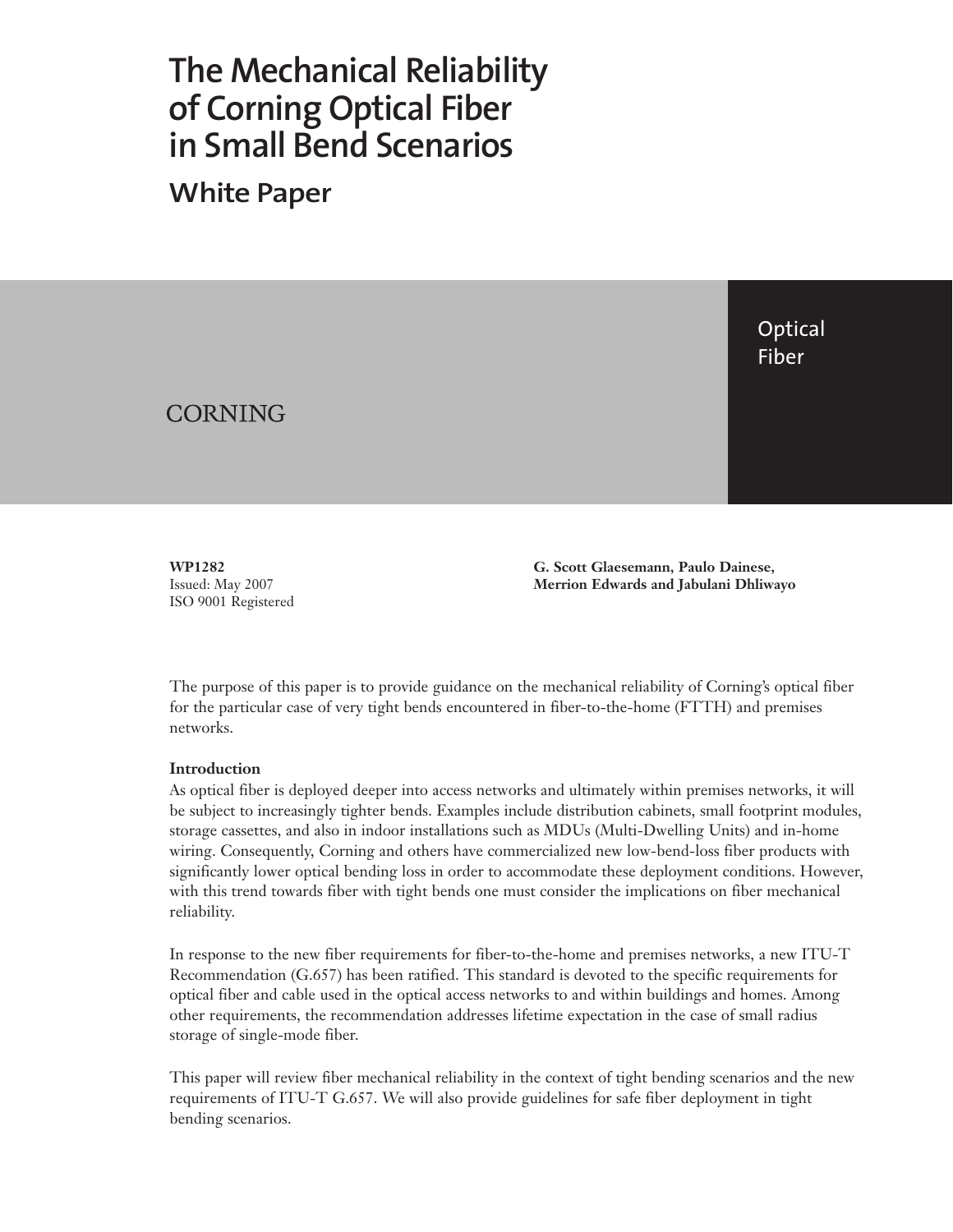# **The Mechanical Reliability of Corning Optical Fiber in Small Bend Scenarios**

**White Paper**

Optical Fiber

CORNING

**WP1282** Issued: May 2007 ISO 9001 Registered **G. Scott Glaesemann, Paulo Dainese, Merrion Edwards and Jabulani Dhliwayo**

The purpose of this paper is to provide guidance on the mechanical reliability of Corning's optical fiber for the particular case of very tight bends encountered in fiber-to-the-home (FTTH) and premises networks.

## **Introduction**

As optical fiber is deployed deeper into access networks and ultimately within premises networks, it will be subject to increasingly tighter bends. Examples include distribution cabinets, small footprint modules, storage cassettes, and also in indoor installations such as MDUs (Multi-Dwelling Units) and in-home wiring. Consequently, Corning and others have commercialized new low-bend-loss fiber products with significantly lower optical bending loss in order to accommodate these deployment conditions. However, with this trend towards fiber with tight bends one must consider the implications on fiber mechanical reliability.

In response to the new fiber requirements for fiber-to-the-home and premises networks, a new ITU-T Recommendation (G.657) has been ratified. This standard is devoted to the specific requirements for optical fiber and cable used in the optical access networks to and within buildings and homes. Among other requirements, the recommendation addresses lifetime expectation in the case of small radius storage of single-mode fiber.

This paper will review fiber mechanical reliability in the context of tight bending scenarios and the new requirements of ITU-T G.657. We will also provide guidelines for safe fiber deployment in tight bending scenarios.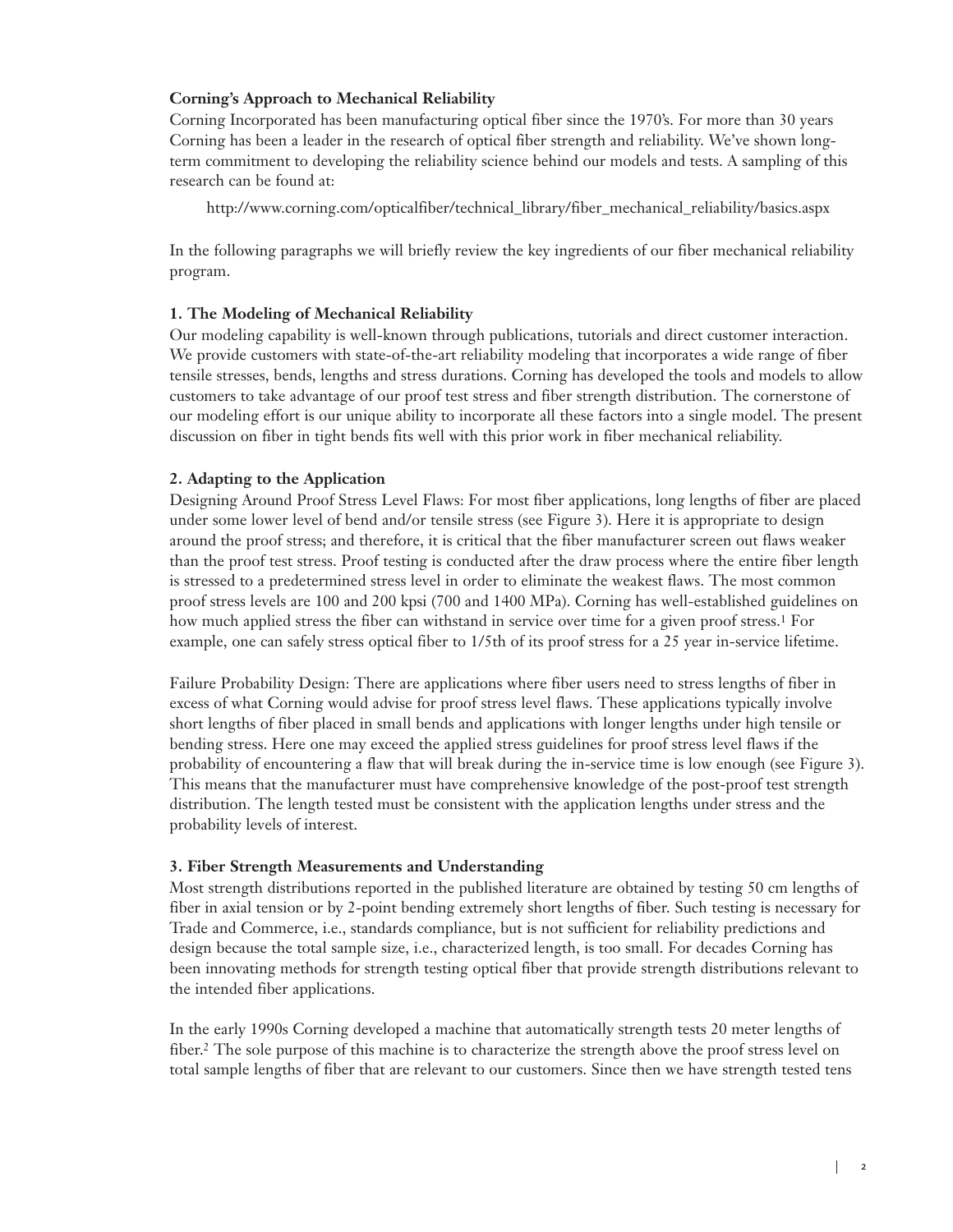# **Corning's Approach to Mechanical Reliability**

Corning Incorporated has been manufacturing optical fiber since the 1970's. For more than 30 years Corning has been a leader in the research of optical fiber strength and reliability. We've shown longterm commitment to developing the reliability science behind our models and tests. A sampling of this research can be found at:

http://www.corning.com/opticalfiber/technical\_library/fiber\_mechanical\_reliability/basics.aspx

In the following paragraphs we will briefly review the key ingredients of our fiber mechanical reliability program.

# **1. The Modeling of Mechanical Reliability**

Our modeling capability is well-known through publications, tutorials and direct customer interaction. We provide customers with state-of-the-art reliability modeling that incorporates a wide range of fiber tensile stresses, bends, lengths and stress durations. Corning has developed the tools and models to allow customers to take advantage of our proof test stress and fiber strength distribution. The cornerstone of our modeling effort is our unique ability to incorporate all these factors into a single model. The present discussion on fiber in tight bends fits well with this prior work in fiber mechanical reliability.

# **2. Adapting to the Application**

Designing Around Proof Stress Level Flaws: For most fiber applications, long lengths of fiber are placed under some lower level of bend and/or tensile stress (see Figure 3). Here it is appropriate to design around the proof stress; and therefore, it is critical that the fiber manufacturer screen out flaws weaker than the proof test stress. Proof testing is conducted after the draw process where the entire fiber length is stressed to a predetermined stress level in order to eliminate the weakest flaws. The most common proof stress levels are 100 and 200 kpsi (700 and 1400 MPa). Corning has well-established guidelines on how much applied stress the fiber can withstand in service over time for a given proof stress.1 For example, one can safely stress optical fiber to 1/5th of its proof stress for a 25 year in-service lifetime.

Failure Probability Design: There are applications where fiber users need to stress lengths of fiber in excess of what Corning would advise for proof stress level flaws. These applications typically involve short lengths of fiber placed in small bends and applications with longer lengths under high tensile or bending stress. Here one may exceed the applied stress guidelines for proof stress level flaws if the probability of encountering a flaw that will break during the in-service time is low enough (see Figure 3). This means that the manufacturer must have comprehensive knowledge of the post-proof test strength distribution. The length tested must be consistent with the application lengths under stress and the probability levels of interest.

# **3. Fiber Strength Measurements and Understanding**

Most strength distributions reported in the published literature are obtained by testing 50 cm lengths of fiber in axial tension or by 2-point bending extremely short lengths of fiber. Such testing is necessary for Trade and Commerce, i.e., standards compliance, but is not sufficient for reliability predictions and design because the total sample size, i.e., characterized length, is too small. For decades Corning has been innovating methods for strength testing optical fiber that provide strength distributions relevant to the intended fiber applications.

In the early 1990s Corning developed a machine that automatically strength tests 20 meter lengths of fiber.2 The sole purpose of this machine is to characterize the strength above the proof stress level on total sample lengths of fiber that are relevant to our customers. Since then we have strength tested tens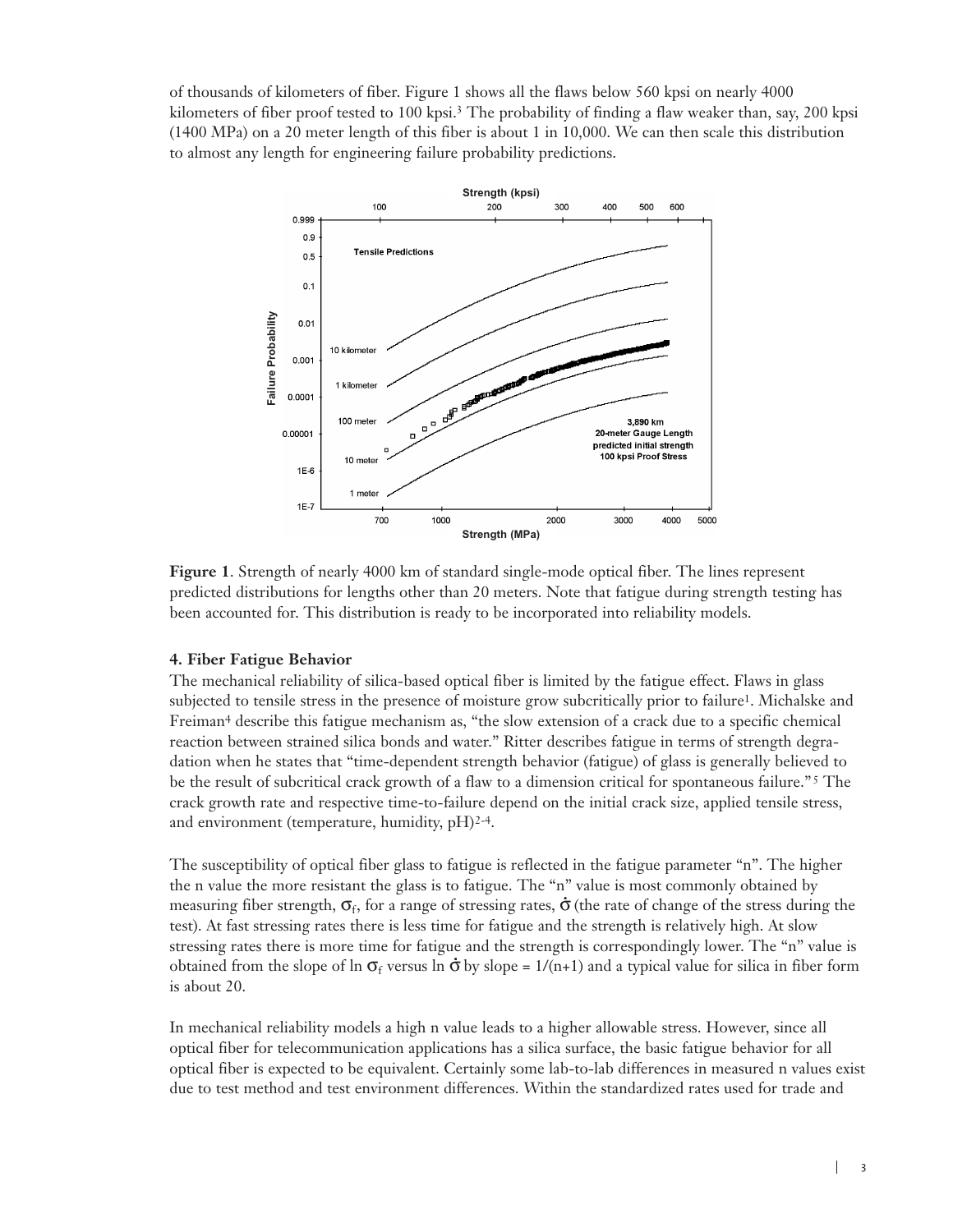of thousands of kilometers of fiber. Figure 1 shows all the flaws below 560 kpsi on nearly 4000 kilometers of fiber proof tested to 100 kpsi.<sup>3</sup> The probability of finding a flaw weaker than, say, 200 kpsi (1400 MPa) on a 20 meter length of this fiber is about 1 in 10,000. We can then scale this distribution to almost any length for engineering failure probability predictions.



**Figure 1**. Strength of nearly 4000 km of standard single-mode optical fiber. The lines represent predicted distributions for lengths other than 20 meters. Note that fatigue during strength testing has been accounted for. This distribution is ready to be incorporated into reliability models.

## **4. Fiber Fatigue Behavior**

The mechanical reliability of silica-based optical fiber is limited by the fatigue effect. Flaws in glass subjected to tensile stress in the presence of moisture grow subcritically prior to failure<sup>1</sup>. Michalske and Freiman4 describe this fatigue mechanism as, "the slow extension of a crack due to a specific chemical reaction between strained silica bonds and water." Ritter describes fatigue in terms of strength degradation when he states that "time-dependent strength behavior (fatigue) of glass is generally believed to be the result of subcritical crack growth of a flaw to a dimension critical for spontaneous failure." <sup>5</sup> The crack growth rate and respective time-to-failure depend on the initial crack size, applied tensile stress, and environment (temperature, humidity, pH)2-4.

The susceptibility of optical fiber glass to fatigue is reflected in the fatigue parameter "n". The higher the n value the more resistant the glass is to fatigue. The "n" value is most commonly obtained by<br>recognize the stress of  $\sigma$ , for a grape of stressing rates  $\dot{\sigma}$  (the nets of shares of the stress durin measuring fiber strength,  $\sigma_f$ , for a range of stressing rates,  $\dot{\sigma}$  (the rate of change of the stress during the test). At fast stressing rates there is less time for fatigue and the strength is relatively high. At slow stressing rates there is more time for fatigue and the strength is correspondingly lower. The "n" value is<br>abtained from the along a file  $\sigma$  arguments  $\dot{\sigma}$  by along a 1/(a) in added to include for silice in the a farm obtained from the slope of ln  $\sigma_f$  versus ln  $\dot{\sigma}$  by slope = 1/(n+1) and a typical value for silica in fiber form is about 20.

In mechanical reliability models a high n value leads to a higher allowable stress. However, since all optical fiber for telecommunication applications has a silica surface, the basic fatigue behavior for all optical fiber is expected to be equivalent. Certainly some lab-to-lab differences in measured n values exist due to test method and test environment differences. Within the standardized rates used for trade and

 $\mathbf{L}$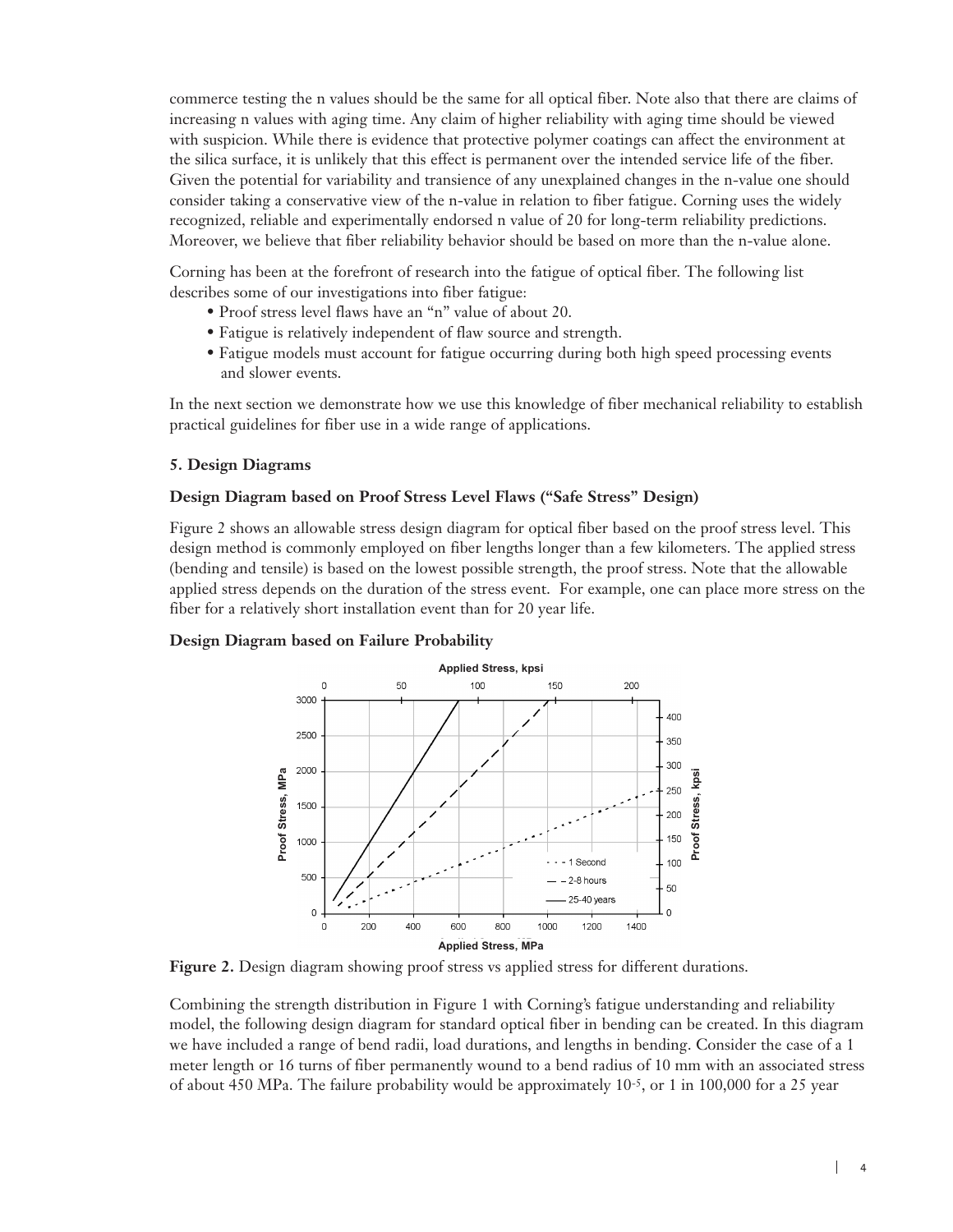commerce testing the n values should be the same for all optical fiber. Note also that there are claims of increasing n values with aging time. Any claim of higher reliability with aging time should be viewed with suspicion. While there is evidence that protective polymer coatings can affect the environment at the silica surface, it is unlikely that this effect is permanent over the intended service life of the fiber. Given the potential for variability and transience of any unexplained changes in the n-value one should consider taking a conservative view of the n-value in relation to fiber fatigue. Corning uses the widely recognized, reliable and experimentally endorsed n value of 20 for long-term reliability predictions. Moreover, we believe that fiber reliability behavior should be based on more than the n-value alone.

Corning has been at the forefront of research into the fatigue of optical fiber. The following list describes some of our investigations into fiber fatigue:

- Proof stress level flaws have an "n" value of about 20.
- Fatigue is relatively independent of flaw source and strength.
- Fatigue models must account for fatigue occurring during both high speed processing events and slower events.

In the next section we demonstrate how we use this knowledge of fiber mechanical reliability to establish practical guidelines for fiber use in a wide range of applications.

#### **5. Design Diagrams**

#### **Design Diagram based on Proof Stress Level Flaws ("Safe Stress" Design)**

Figure 2 shows an allowable stress design diagram for optical fiber based on the proof stress level. This design method is commonly employed on fiber lengths longer than a few kilometers. The applied stress (bending and tensile) is based on the lowest possible strength, the proof stress. Note that the allowable applied stress depends on the duration of the stress event. For example, one can place more stress on the fiber for a relatively short installation event than for 20 year life.

#### **Design Diagram based on Failure Probability**



**Figure 2.** Design diagram showing proof stress vs applied stress for different durations.

Combining the strength distribution in Figure 1 with Corning's fatigue understanding and reliability model, the following design diagram for standard optical fiber in bending can be created. In this diagram we have included a range of bend radii, load durations, and lengths in bending. Consider the case of a 1 meter length or 16 turns of fiber permanently wound to a bend radius of 10 mm with an associated stress of about 450 MPa. The failure probability would be approximately 10-5, or 1 in 100,000 for a 25 year

 $\mathbf{L}$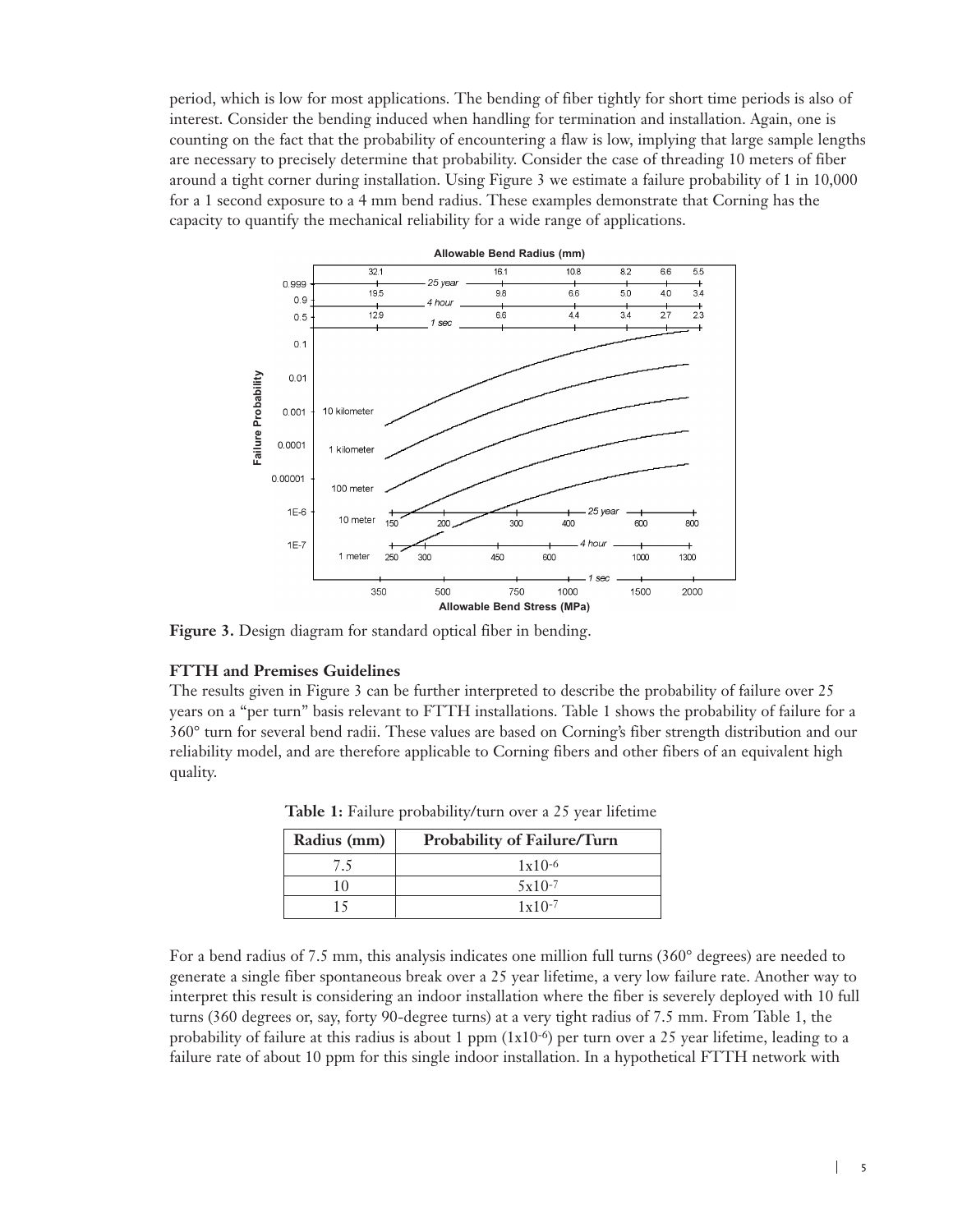period, which is low for most applications. The bending of fiber tightly for short time periods is also of interest. Consider the bending induced when handling for termination and installation. Again, one is counting on the fact that the probability of encountering a flaw is low, implying that large sample lengths are necessary to precisely determine that probability. Consider the case of threading 10 meters of fiber around a tight corner during installation. Using Figure 3 we estimate a failure probability of 1 in 10,000 for a 1 second exposure to a 4 mm bend radius. These examples demonstrate that Corning has the capacity to quantify the mechanical reliability for a wide range of applications.



**Figure 3.** Design diagram for standard optical fiber in bending.

#### **FTTH and Premises Guidelines**

The results given in Figure 3 can be further interpreted to describe the probability of failure over 25 years on a "per turn" basis relevant to FTTH installations. Table 1 shows the probability of failure for a 360° turn for several bend radii. These values are based on Corning's fiber strength distribution and our reliability model, and are therefore applicable to Corning fibers and other fibers of an equivalent high quality.

| Radius (mm) | Probability of Failure/Turn |
|-------------|-----------------------------|
| 7.5         | $1x10-6$                    |
| 10          | $5x10-7$                    |
| 15          | $1 \times 10^{-7}$          |

**Table 1:** Failure probability/turn over a 25 year lifetime

For a bend radius of 7.5 mm, this analysis indicates one million full turns (360° degrees) are needed to generate a single fiber spontaneous break over a 25 year lifetime, a very low failure rate. Another way to interpret this result is considering an indoor installation where the fiber is severely deployed with 10 full turns (360 degrees or, say, forty 90-degree turns) at a very tight radius of 7.5 mm. From Table 1, the probability of failure at this radius is about 1 ppm (1x10-6) per turn over a 25 year lifetime, leading to a failure rate of about 10 ppm for this single indoor installation. In a hypothetical FTTH network with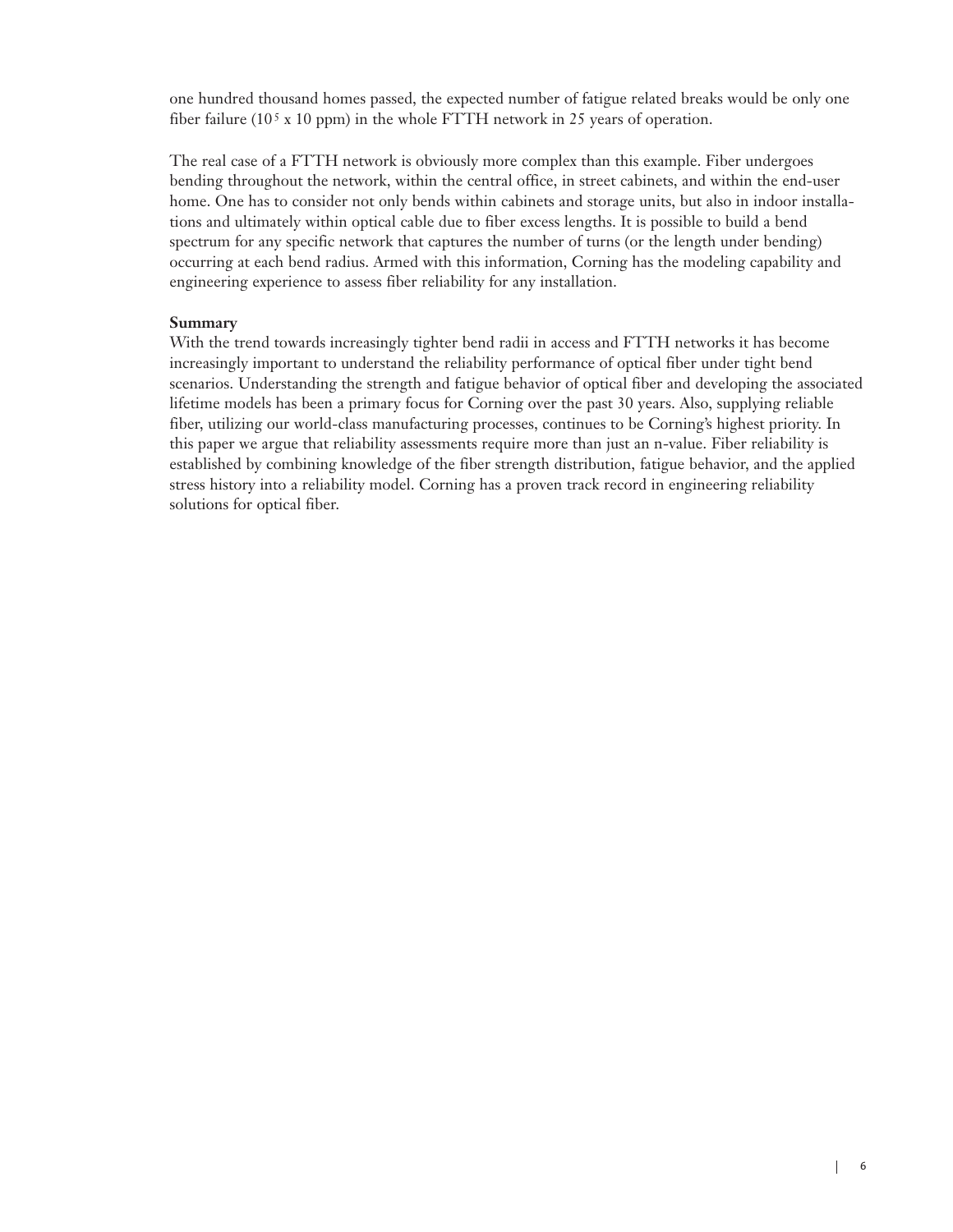one hundred thousand homes passed, the expected number of fatigue related breaks would be only one fiber failure (105 x 10 ppm) in the whole FTTH network in 25 years of operation.

The real case of a FTTH network is obviously more complex than this example. Fiber undergoes bending throughout the network, within the central office, in street cabinets, and within the end-user home. One has to consider not only bends within cabinets and storage units, but also in indoor installations and ultimately within optical cable due to fiber excess lengths. It is possible to build a bend spectrum for any specific network that captures the number of turns (or the length under bending) occurring at each bend radius. Armed with this information, Corning has the modeling capability and engineering experience to assess fiber reliability for any installation.

# **Summary**

With the trend towards increasingly tighter bend radii in access and FTTH networks it has become increasingly important to understand the reliability performance of optical fiber under tight bend scenarios. Understanding the strength and fatigue behavior of optical fiber and developing the associated lifetime models has been a primary focus for Corning over the past 30 years. Also, supplying reliable fiber, utilizing our world-class manufacturing processes, continues to be Corning's highest priority. In this paper we argue that reliability assessments require more than just an n-value. Fiber reliability is established by combining knowledge of the fiber strength distribution, fatigue behavior, and the applied stress history into a reliability model. Corning has a proven track record in engineering reliability solutions for optical fiber.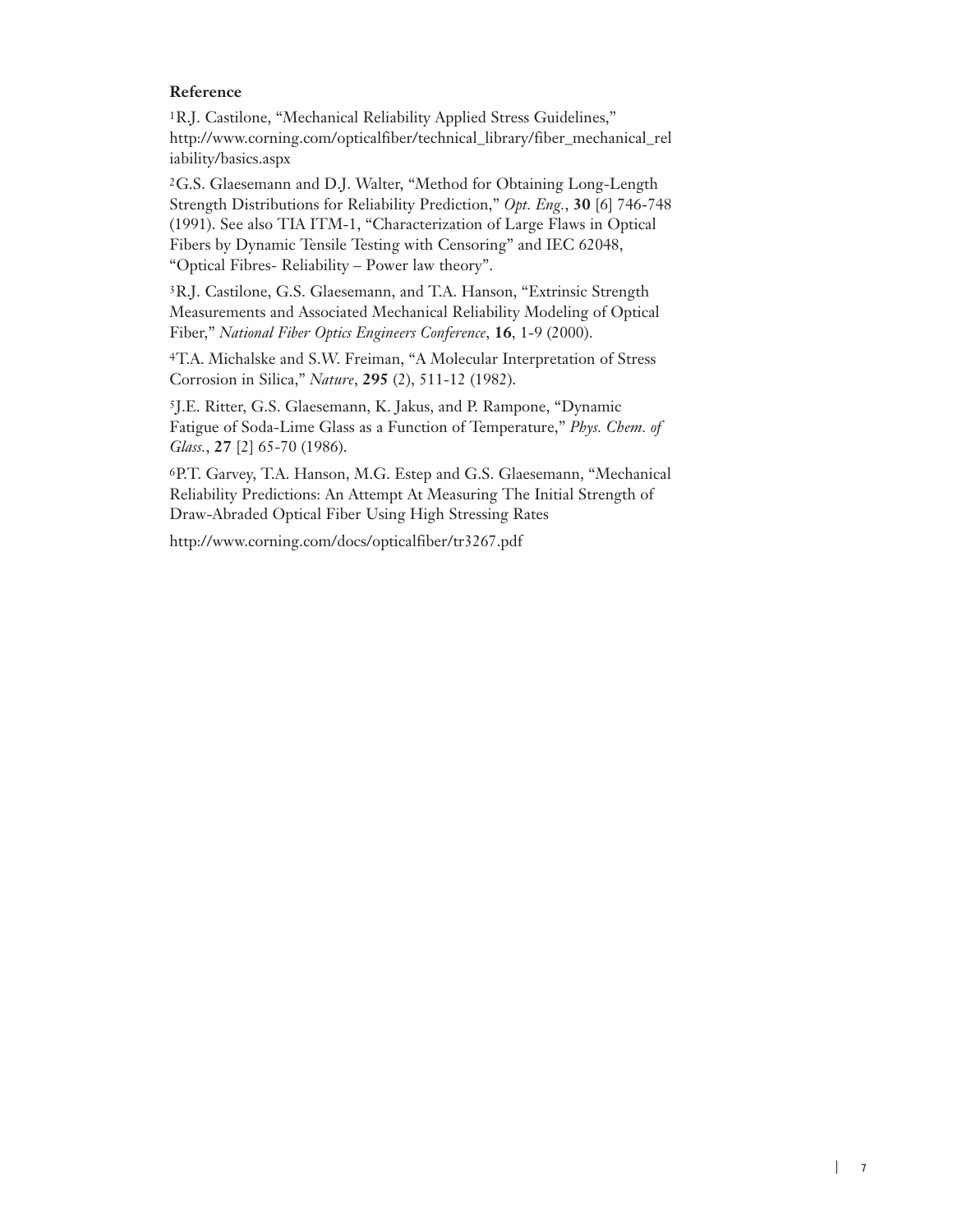## **Reference**

1R.J. Castilone, "Mechanical Reliability Applied Stress Guidelines," http://www.corning.com/opticalfiber/technical\_library/fiber\_mechanical\_rel iability/basics.aspx

2G.S. Glaesemann and D.J. Walter, "Method for Obtaining Long-Length Strength Distributions for Reliability Prediction," *Opt. Eng.*, **30** [6] 746-748 (1991). See also TIA ITM-1, "Characterization of Large Flaws in Optical Fibers by Dynamic Tensile Testing with Censoring" and IEC 62048, "Optical Fibres- Reliability – Power law theory".

<sup>3</sup>R.J. Castilone, G.S. Glaesemann, and T.A. Hanson, "Extrinsic Strength Measurements and Associated Mechanical Reliability Modeling of Optical Fiber," *National Fiber Optics Engineers Conference*, **16**, 1-9 (2000).

4T.A. Michalske and S.W. Freiman, "A Molecular Interpretation of Stress Corrosion in Silica," *Nature*, **295** (2), 511-12 (1982).

5J.E. Ritter, G.S. Glaesemann, K. Jakus, and P. Rampone, "Dynamic Fatigue of Soda-Lime Glass as a Function of Temperature," *Phys. Chem. of Glass.*, **27** [2] 65-70 (1986).

6P.T. Garvey, T.A. Hanson, M.G. Estep and G.S. Glaesemann, "Mechanical Reliability Predictions: An Attempt At Measuring The Initial Strength of Draw-Abraded Optical Fiber Using High Stressing Rates

http://www.corning.com/docs/opticalfiber/tr3267.pdf